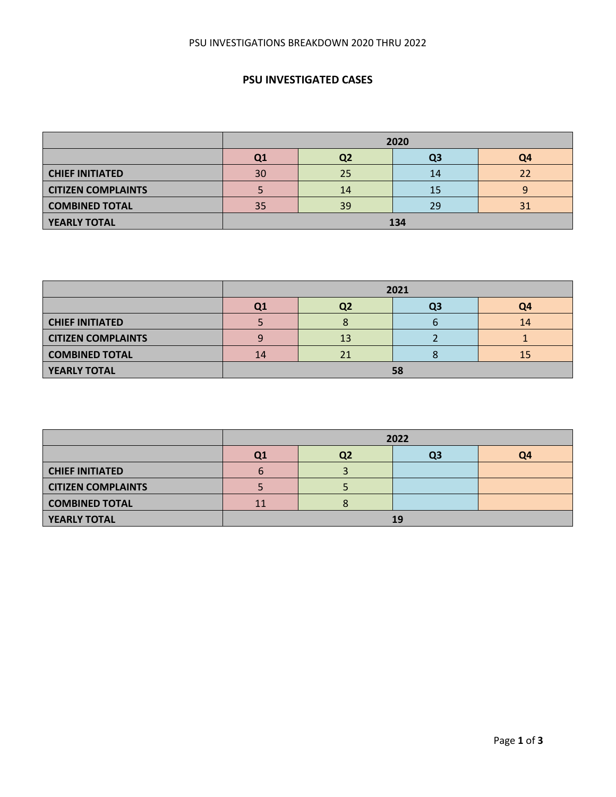# **PSU INVESTIGATED CASES**

|                           | 2020 |                |    |    |  |  |  |  |
|---------------------------|------|----------------|----|----|--|--|--|--|
|                           | Q1   | Q4<br>Q2<br>Q3 |    |    |  |  |  |  |
| <b>CHIEF INITIATED</b>    | 30   | 25             | 14 | 22 |  |  |  |  |
| <b>CITIZEN COMPLAINTS</b> |      | 14             |    |    |  |  |  |  |
| <b>COMBINED TOTAL</b>     | 35   | 39             | 29 | 31 |  |  |  |  |
| <b>YEARLY TOTAL</b>       | 134  |                |    |    |  |  |  |  |

|                           | 2021           |                |  |    |  |  |  |  |  |
|---------------------------|----------------|----------------|--|----|--|--|--|--|--|
|                           | Q <sub>1</sub> | Q4<br>Q2<br>Q3 |  |    |  |  |  |  |  |
| <b>CHIEF INITIATED</b>    |                |                |  | 14 |  |  |  |  |  |
| <b>CITIZEN COMPLAINTS</b> |                | 13             |  |    |  |  |  |  |  |
| <b>COMBINED TOTAL</b>     | 14             | 21             |  | 15 |  |  |  |  |  |
| <b>YEARLY TOTAL</b>       | 58             |                |  |    |  |  |  |  |  |

|                           | 2022 |                            |  |  |  |  |  |  |  |
|---------------------------|------|----------------------------|--|--|--|--|--|--|--|
|                           | Q1   | Q4<br>Q <sub>2</sub><br>Q3 |  |  |  |  |  |  |  |
| <b>CHIEF INITIATED</b>    | 6    |                            |  |  |  |  |  |  |  |
| <b>CITIZEN COMPLAINTS</b> |      |                            |  |  |  |  |  |  |  |
| <b>COMBINED TOTAL</b>     | 11   |                            |  |  |  |  |  |  |  |
| YEARLY TOTAL              | 19   |                            |  |  |  |  |  |  |  |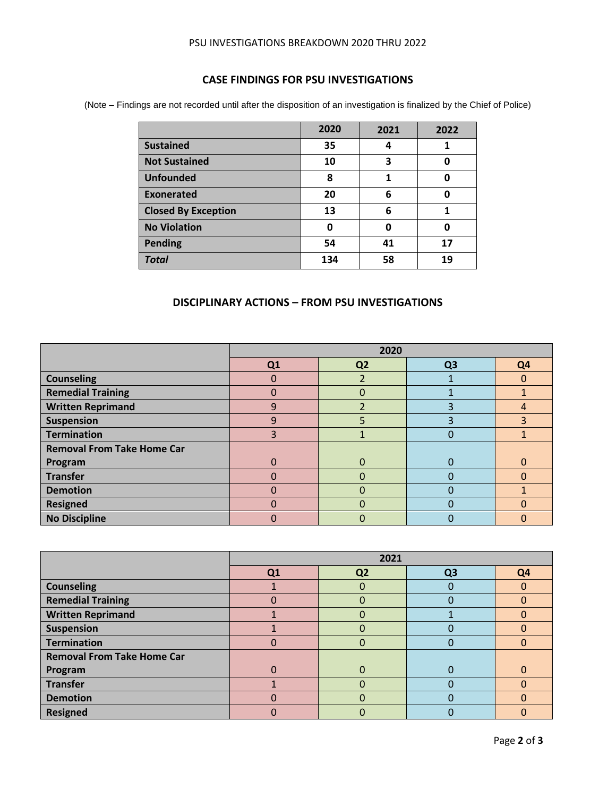#### PSU INVESTIGATIONS BREAKDOWN 2020 THRU 2022

### **CASE FINDINGS FOR PSU INVESTIGATIONS**

(Note – Findings are not recorded until after the disposition of an investigation is finalized by the Chief of Police)

|                            | 2020 | 2021 | 2022 |
|----------------------------|------|------|------|
| <b>Sustained</b>           | 35   | 4    |      |
| <b>Not Sustained</b>       | 10   | 3    | 0    |
| <b>Unfounded</b>           | 8    | 1    | 0    |
| <b>Exonerated</b>          | 20   | 6    | 0    |
| <b>Closed By Exception</b> | 13   | 6    | 1    |
| <b>No Violation</b>        | 0    | ŋ    | 0    |
| <b>Pending</b>             | 54   | 41   | 17   |
| <b>Total</b>               | 134  | 58   | 19   |

### **DISCIPLINARY ACTIONS – FROM PSU INVESTIGATIONS**

|                                   | 2020 |                |                |                |
|-----------------------------------|------|----------------|----------------|----------------|
|                                   | Q1   | Q <sub>2</sub> | Q <sub>3</sub> | Q <sub>4</sub> |
| <b>Counseling</b>                 | 0    |                |                | O              |
| <b>Remedial Training</b>          | 0    |                |                |                |
| <b>Written Reprimand</b>          | 9    |                | 3              | 4              |
| <b>Suspension</b>                 | 9    | ר              | 3              | 3              |
| <b>Termination</b>                | 3    |                | $\Omega$       |                |
| <b>Removal From Take Home Car</b> |      |                |                |                |
| Program                           | 0    | O              | O              |                |
| <b>Transfer</b>                   | 0    |                | 0              | O              |
| <b>Demotion</b>                   | 0    |                | 0              |                |
| <b>Resigned</b>                   | N    | O              | O              | O              |
| <b>No Discipline</b>              | 0    |                |                | 0              |

|                                   | 2021 |                |                |                |
|-----------------------------------|------|----------------|----------------|----------------|
|                                   | Q1   | Q <sub>2</sub> | Q <sub>3</sub> | Q <sub>4</sub> |
| <b>Counseling</b>                 |      | O              | $\Omega$       |                |
| <b>Remedial Training</b>          | O    | 0              |                | 0              |
| <b>Written Reprimand</b>          |      | $\mathbf{U}$   |                |                |
| <b>Suspension</b>                 |      |                |                |                |
| <b>Termination</b>                | O    |                |                |                |
| <b>Removal From Take Home Car</b> |      |                |                |                |
| Program                           |      | 0              |                |                |
| <b>Transfer</b>                   |      |                |                |                |
| <b>Demotion</b>                   |      |                |                |                |
| <b>Resigned</b>                   |      |                |                |                |